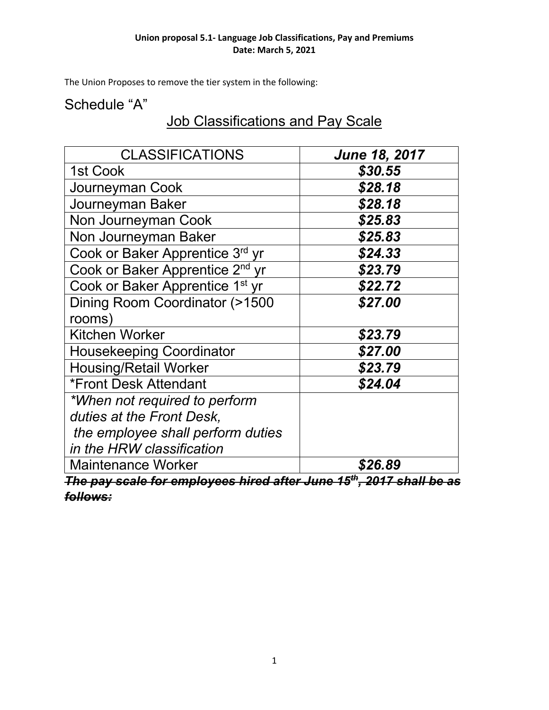#### **Union proposal 5.1- Language Job Classifications, Pay and Premiums Date: March 5, 2021**

The Union Proposes to remove the tier system in the following:

## Schedule "A"

# Job Classifications and Pay Scale

| <b>CLASSIFICATIONS</b>                                                           | <b>June 18, 2017</b> |  |
|----------------------------------------------------------------------------------|----------------------|--|
| 1st Cook                                                                         | \$30.55              |  |
| Journeyman Cook                                                                  | \$28.18              |  |
| Journeyman Baker                                                                 | \$28.18              |  |
| Non Journeyman Cook                                                              | \$25.83              |  |
| Non Journeyman Baker                                                             | \$25.83              |  |
| Cook or Baker Apprentice 3rd yr                                                  | \$24.33              |  |
| Cook or Baker Apprentice 2 <sup>nd</sup> yr                                      | \$23.79              |  |
| Cook or Baker Apprentice 1 <sup>st</sup> yr                                      | \$22.72              |  |
| Dining Room Coordinator (>1500                                                   | \$27.00              |  |
| rooms)                                                                           |                      |  |
| <b>Kitchen Worker</b>                                                            | \$23.79              |  |
| <b>Housekeeping Coordinator</b>                                                  | \$27.00              |  |
| <b>Housing/Retail Worker</b>                                                     | \$23.79              |  |
| <b>*Front Desk Attendant</b>                                                     | \$24.04              |  |
| *When not required to perform                                                    |                      |  |
| duties at the Front Desk,                                                        |                      |  |
| the employee shall perform duties                                                |                      |  |
| in the HRW classification                                                        |                      |  |
| <b>Maintenance Worker</b>                                                        | \$26.89              |  |
| The pay scale for employees hired after June 15 <sup>th</sup> , 2017 shall be as |                      |  |

*follows:*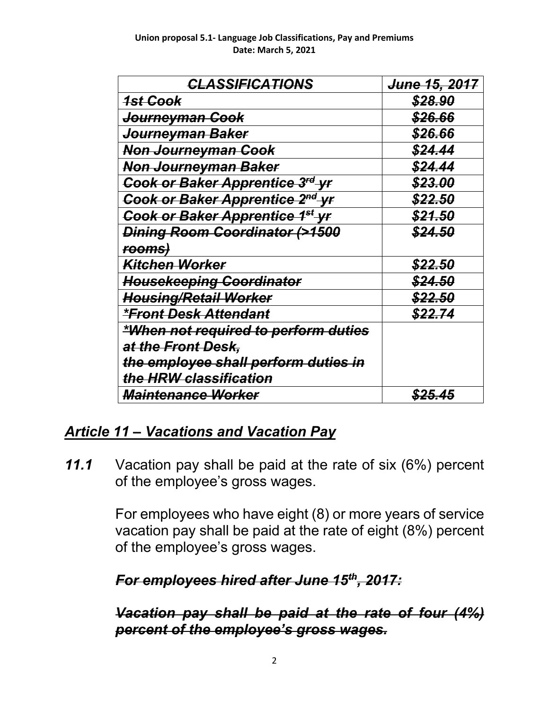| <b>CLASSIFICATIONS</b>                      | <del>June 15, 2017</del> |
|---------------------------------------------|--------------------------|
| <u> 1st Cook</u>                            | <b>\$28,90</b>           |
| Journeyman Cook                             | \$26,66                  |
| <del>Journeyman Baker</del>                 | <u>\$26.66</u>           |
| Non Journeyman Cook                         | \$24.44                  |
| Non Journeyman Baker                        | \$24.44                  |
| Cook or Baker Apprentice 3rd yr             | <b>\$23.00</b>           |
| Cook or Baker Apprentice 2 <sup>nd</sup> yr | \$22.50                  |
| Cook or Baker Apprentice 1 <sup>st</sup> Vr | <b>\$21.50</b>           |
| Dining Room Coordinator (>1500              | <b>\$24.50</b>           |
| rooms)                                      |                          |
| Kitchen Worker                              | <u>\$22.50</u>           |
| <b>Housekeeping Coordinator</b>             | <b>\$24.50</b>           |
| <b>Housing/Retail Worker</b>                | <u>\$22.50</u>           |
| <u>*Front Desk Attendant</u>                | \$22.74                  |
| *When not required to perform duties        |                          |
| at the Front Desk,                          |                          |
| the employee shall perform duties in        |                          |
| the HRW classification                      |                          |
| <i><b>Maintenance Worker</b></i>            | <u>\$25.45</u>           |

# *Article 11 – Vacations and Vacation Pay*

*11.1* Vacation pay shall be paid at the rate of six (6%) percent of the employee's gross wages.

> For employees who have eight (8) or more years of service vacation pay shall be paid at the rate of eight (8%) percent of the employee's gross wages.

*For employees hired after June 15th, 2017:*

*Vacation pay shall be paid at the rate of four (4%) percent of the employee's gross wages.*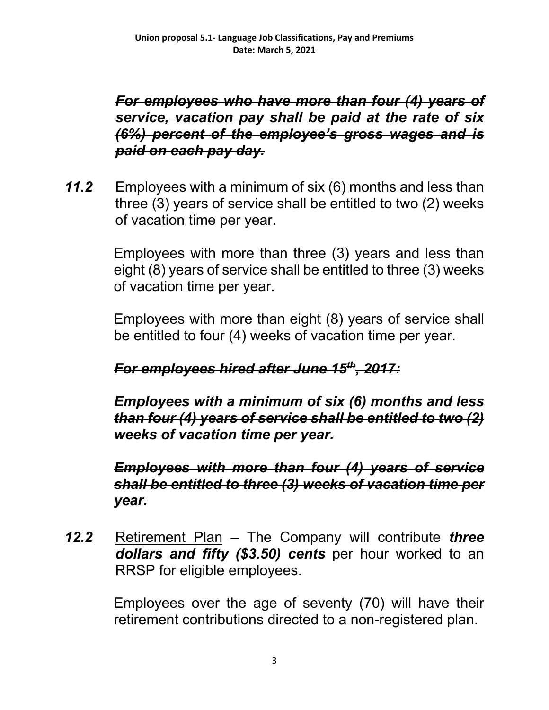*For employees who have more than four (4) years of service, vacation pay shall be paid at the rate of six (6%) percent of the employee's gross wages and is paid on each pay day.*

*11.2* Employees with a minimum of six (6) months and less than three (3) years of service shall be entitled to two (2) weeks of vacation time per year.

> Employees with more than three (3) years and less than eight (8) years of service shall be entitled to three (3) weeks of vacation time per year.

> Employees with more than eight (8) years of service shall be entitled to four (4) weeks of vacation time per year.

## *For employees hired after June 15th, 2017:*

*Employees with a minimum of six (6) months and less than four (4) years of service shall be entitled to two (2) weeks of vacation time per year.*

*Employees with more than four (4) years of service shall be entitled to three (3) weeks of vacation time per year.*

*12.2* Retirement Plan – The Company will contribute *three dollars and fifty (\$3.50) cents* per hour worked to an RRSP for eligible employees.

> Employees over the age of seventy (70) will have their retirement contributions directed to a non-registered plan.